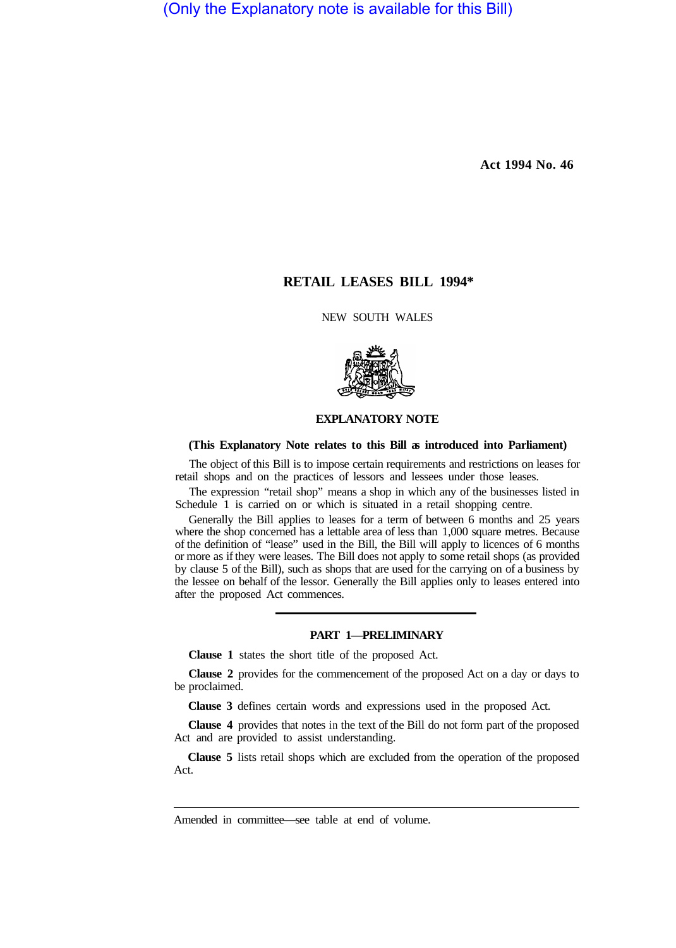(Only the Explanatory note is available for this Bill)

**Act 1994 No. 46**

# **RETAIL LEASES BILL 1994\***

NEW SOUTH WALES



## **EXPLANATORY NOTE**

#### **(This Explanatory Note relates to this Bill as introduced into Parliament)**

The object of this Bill is to impose certain requirements and restrictions on leases for retail shops and on the practices of lessors and lessees under those leases.

The expression "retail shop" means a shop in which any of the businesses listed in Schedule 1 is carried on or which is situated in a retail shopping centre.

Generally the Bill applies to leases for a term of between 6 months and 25 years where the shop concerned has a lettable area of less than 1,000 square metres. Because of the definition of "lease" used in the Bill, the Bill will apply to licences of 6 months or more as if they were leases. The Bill does not apply to some retail shops (as provided by clause 5 of the Bill), such as shops that are used for the carrying on of a business by the lessee on behalf of the lessor. Generally the Bill applies only to leases entered into after the proposed Act commences.

#### **PART 1—PRELIMINARY**

**Clause 1** states the short title of the proposed Act.

**Clause 2** provides for the commencement of the proposed Act on a day or days to be proclaimed.

**Clause 3** defines certain words and expressions used in the proposed Act.

**Clause 4** provides that notes in the text of the Bill do not form part of the proposed Act and are provided to assist understanding.

**Clause 5** lists retail shops which are excluded from the operation of the proposed Act.

Amended in committee—see table at end of volume.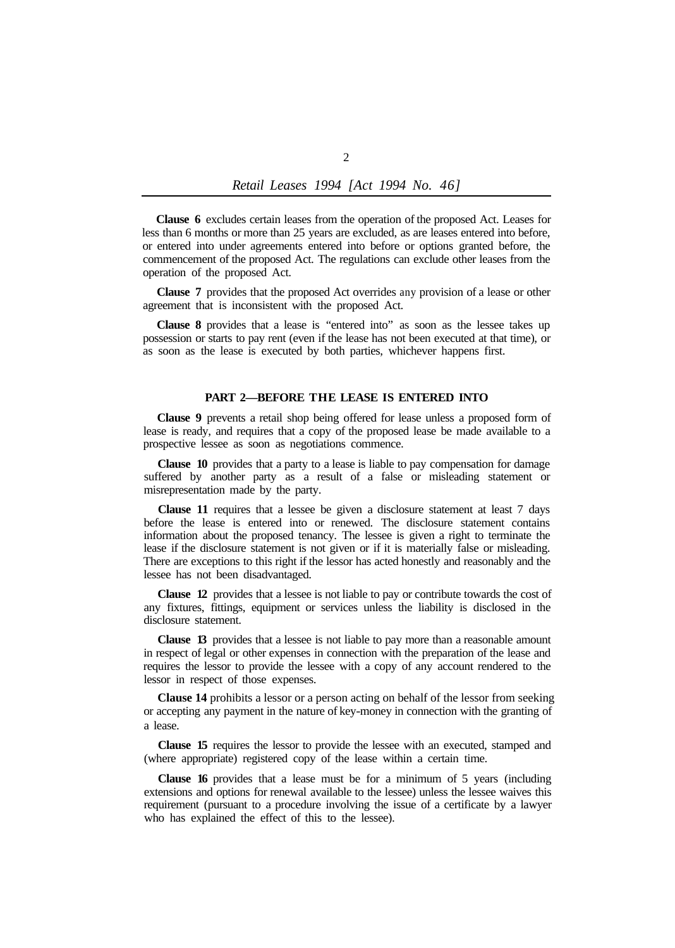**Clause 6** excludes certain leases from the operation of the proposed Act. Leases for less than 6 months or more than 25 years are excluded, as are leases entered into before, or entered into under agreements entered into before or options granted before, the commencement of the proposed Act. The regulations can exclude other leases from the operation of the proposed Act.

**Clause 7** provides that the proposed Act overrides any provision of a lease or other agreement that is inconsistent with the proposed Act.

**Clause 8** provides that a lease is "entered into" as soon as the lessee takes up possession or starts to pay rent (even if the lease has not been executed at that time), or as soon as the lease is executed by both parties, whichever happens first.

### **PART 2—BEFORE THE LEASE IS ENTERED INTO**

**Clause 9** prevents a retail shop being offered for lease unless a proposed form of lease is ready, and requires that a copy of the proposed lease be made available to a prospective lessee as soon as negotiations commence.

**Clause 10** provides that a party to a lease is liable to pay compensation for damage suffered by another party as a result of a false or misleading statement or misrepresentation made by the party.

**Clause 11** requires that a lessee be given a disclosure statement at least 7 days before the lease is entered into or renewed. The disclosure statement contains information about the proposed tenancy. The lessee is given a right to terminate the lease if the disclosure statement is not given or if it is materially false or misleading. There are exceptions to this right if the lessor has acted honestly and reasonably and the lessee has not been disadvantaged.

**Clause 12** provides that a lessee is not liable to pay or contribute towards the cost of any fixtures, fittings, equipment or services unless the liability is disclosed in the disclosure statement.

**Clause 13** provides that a lessee is not liable to pay more than a reasonable amount in respect of legal or other expenses in connection with the preparation of the lease and requires the lessor to provide the lessee with a copy of any account rendered to the lessor in respect of those expenses.

**Clause 14** prohibits a lessor or a person acting on behalf of the lessor from seeking or accepting any payment in the nature of key-money in connection with the granting of a lease.

**Clause 15** requires the lessor to provide the lessee with an executed, stamped and (where appropriate) registered copy of the lease within a certain time.

**Clause 16** provides that a lease must be for a minimum of 5 years (including extensions and options for renewal available to the lessee) unless the lessee waives this requirement (pursuant to a procedure involving the issue of a certificate by a lawyer who has explained the effect of this to the lessee).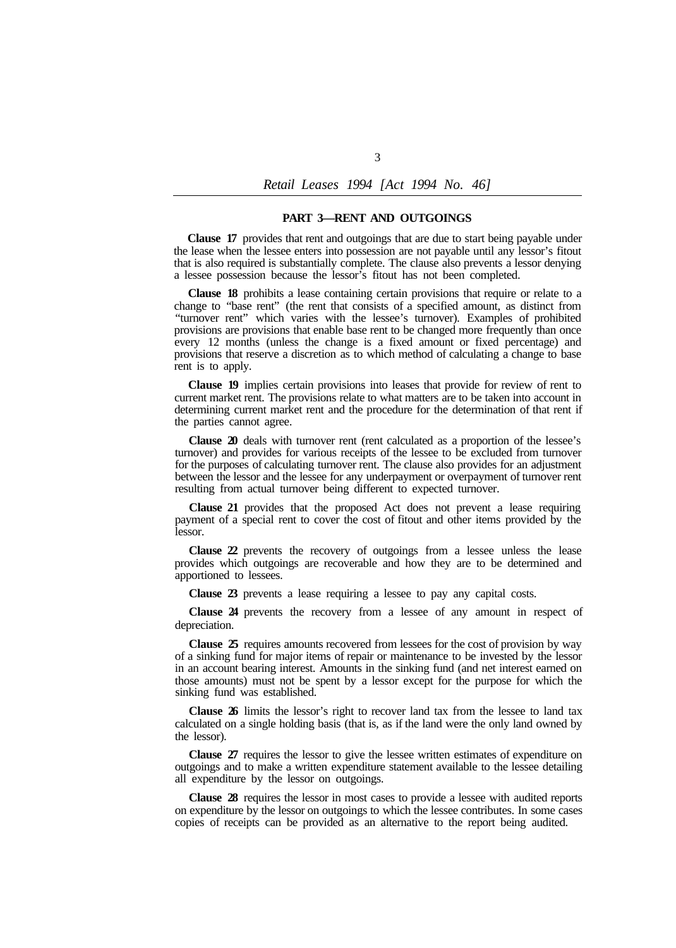#### **PART 3—RENT AND OUTGOINGS**

**Clause 17** provides that rent and outgoings that are due to start being payable under the lease when the lessee enters into possession are not payable until any lessor's fitout that is also required is substantially complete. The clause also prevents a lessor denying a lessee possession because the lessor's fitout has not been completed.

**Clause 18** prohibits a lease containing certain provisions that require or relate to a change to "base rent" (the rent that consists of a specified amount, as distinct from "turnover rent" which varies with the lessee's turnover). Examples of prohibited provisions are provisions that enable base rent to be changed more frequently than once every 12 months (unless the change is a fixed amount or fixed percentage) and provisions that reserve a discretion as to which method of calculating a change to base rent is to apply.

**Clause 19** implies certain provisions into leases that provide for review of rent to current market rent. The provisions relate to what matters are to be taken into account in determining current market rent and the procedure for the determination of that rent if the parties cannot agree.

**Clause 20** deals with turnover rent (rent calculated as a proportion of the lessee's turnover) and provides for various receipts of the lessee to be excluded from turnover for the purposes of calculating turnover rent. The clause also provides for an adjustment between the lessor and the lessee for any underpayment or overpayment of turnover rent resulting from actual turnover being different to expected turnover.

**Clause 21** provides that the proposed Act does not prevent a lease requiring payment of a special rent to cover the cost of fitout and other items provided by the lessor.

**Clause 22** prevents the recovery of outgoings from a lessee unless the lease provides which outgoings are recoverable and how they are to be determined and apportioned to lessees.

**Clause 23** prevents a lease requiring a lessee to pay any capital costs.

**Clause 24** prevents the recovery from a lessee of any amount in respect of depreciation.

**Clause 25** requires amounts recovered from lessees for the cost of provision by way of a sinking fund for major items of repair or maintenance to be invested by the lessor in an account bearing interest. Amounts in the sinking fund (and net interest earned on those amounts) must not be spent by a lessor except for the purpose for which the sinking fund was established.

**Clause 26** limits the lessor's right to recover land tax from the lessee to land tax calculated on a single holding basis (that is, as if the land were the only land owned by the lessor).

**Clause 27** requires the lessor to give the lessee written estimates of expenditure on outgoings and to make a written expenditure statement available to the lessee detailing all expenditure by the lessor on outgoings.

**Clause 28** requires the lessor in most cases to provide a lessee with audited reports on expenditure by the lessor on outgoings to which the lessee contributes. In some cases copies of receipts can be provided as an alternative to the report being audited.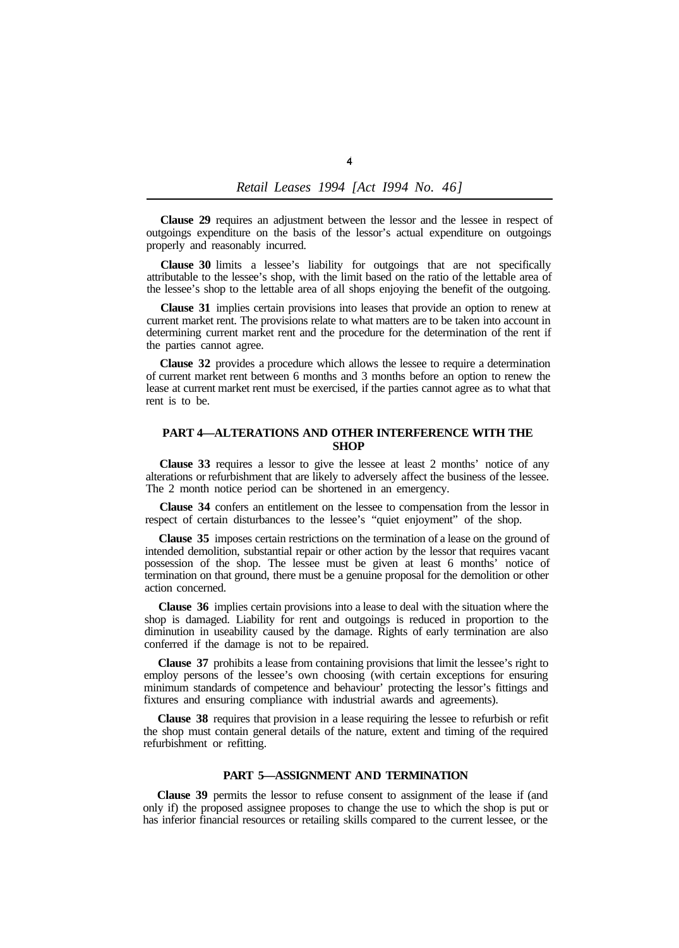**Clause 29** requires an adjustment between the lessor and the lessee in respect of outgoings expenditure on the basis of the lessor's actual expenditure on outgoings properly and reasonably incurred.

**Clause 30** limits a lessee's liability for outgoings that are not specifically attributable to the lessee's shop, with the limit based on the ratio of the lettable area of the lessee's shop to the lettable area of all shops enjoying the benefit of the outgoing.

**Clause 31** implies certain provisions into leases that provide an option to renew at current market rent. The provisions relate to what matters are to be taken into account in determining current market rent and the procedure for the determination of the rent if the parties cannot agree.

**Clause 32** provides a procedure which allows the lessee to require a determination of current market rent between 6 months and 3 months before an option to renew the lease at current market rent must be exercised, if the parties cannot agree as to what that rent is to be.

### **PART 4—ALTERATIONS AND OTHER INTERFERENCE WITH THE SHOP**

**Clause 33** requires a lessor to give the lessee at least 2 months' notice of any alterations or refurbishment that are likely to adversely affect the business of the lessee. The 2 month notice period can be shortened in an emergency.

**Clause 34** confers an entitlement on the lessee to compensation from the lessor in respect of certain disturbances to the lessee's "quiet enjoyment" of the shop.

**Clause 35** imposes certain restrictions on the termination of a lease on the ground of intended demolition, substantial repair or other action by the lessor that requires vacant possession of the shop. The lessee must be given at least 6 months' notice of termination on that ground, there must be a genuine proposal for the demolition or other action concerned.

**Clause 36** implies certain provisions into a lease to deal with the situation where the shop is damaged. Liability for rent and outgoings is reduced in proportion to the diminution in useability caused by the damage. Rights of early termination are also conferred if the damage is not to be repaired.

**Clause 37** prohibits a lease from containing provisions that limit the lessee's right to employ persons of the lessee's own choosing (with certain exceptions for ensuring minimum standards of competence and behaviour' protecting the lessor's fittings and fixtures and ensuring compliance with industrial awards and agreements).

**Clause 38** requires that provision in a lease requiring the lessee to refurbish or refit the shop must contain general details of the nature, extent and timing of the required refurbishment or refitting.

#### **PART 5—ASSIGNMENT AND TERMINATION**

**Clause 39** permits the lessor to refuse consent to assignment of the lease if (and only if) the proposed assignee proposes to change the use to which the shop is put or has inferior financial resources or retailing skills compared to the current lessee, or the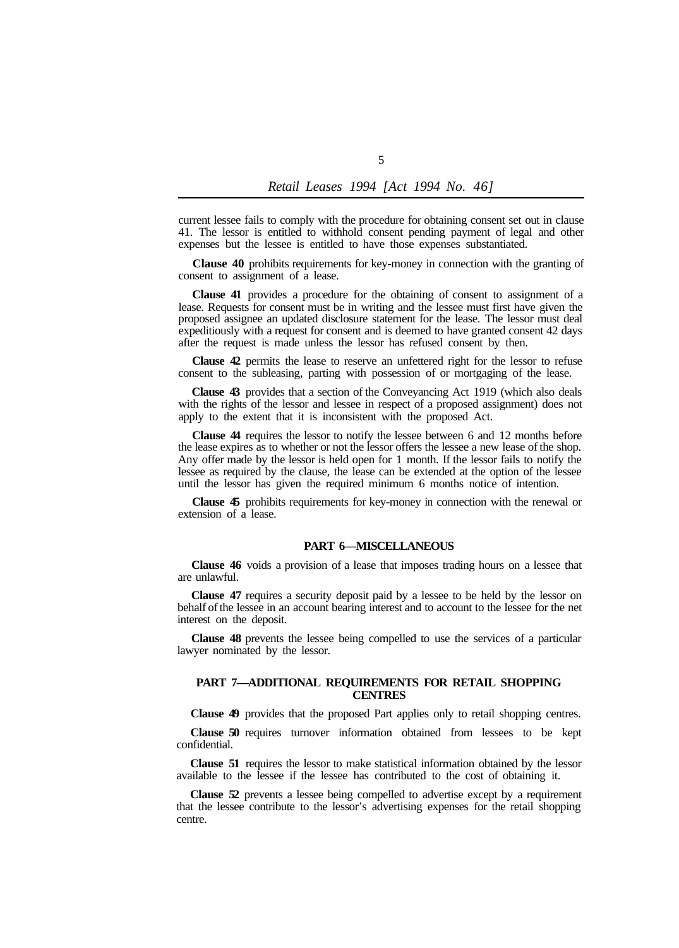current lessee fails to comply with the procedure for obtaining consent set out in clause 41. The lessor is entitled to withhold consent pending payment of legal and other expenses but the lessee is entitled to have those expenses substantiated.

**Clause 40** prohibits requirements for key-money in connection with the granting of consent to assignment of a lease.

**Clause 41** provides a procedure for the obtaining of consent to assignment of a lease. Requests for consent must be in writing and the lessee must first have given the proposed assignee an updated disclosure statement for the lease. The lessor must deal expeditiously with a request for consent and is deemed to have granted consent 42 days after the request is made unless the lessor has refused consent by then.

**Clause 42** permits the lease to reserve an unfettered right for the lessor to refuse consent to the subleasing, parting with possession of or mortgaging of the lease.

**Clause 43** provides that a section of the Conveyancing Act 1919 (which also deals with the rights of the lessor and lessee in respect of a proposed assignment) does not apply to the extent that it is inconsistent with the proposed Act.

**Clause 44** requires the lessor to notify the lessee between 6 and 12 months before the lease expires as to whether or not the lessor offers the lessee a new lease of the shop. Any offer made by the lessor is held open for 1 month. If the lessor fails to notify the lessee as required by the clause, the lease can be extended at the option of the lessee until the lessor has given the required minimum 6 months notice of intention.

**Clause 45** prohibits requirements for key-money in connection with the renewal or extension of a lease.

#### **PART 6—MISCELLANEOUS**

**Clause 46** voids a provision of a lease that imposes trading hours on a lessee that are unlawful.

**Clause 47** requires a security deposit paid by a lessee to be held by the lessor on behalf of the lessee in an account bearing interest and to account to the lessee for the net interest on the deposit.

**Clause 48** prevents the lessee being compelled to use the services of a particular lawyer nominated by the lessor.

#### **PART 7—ADDITIONAL REQUIREMENTS FOR RETAIL SHOPPING CENTRES**

**Clause 49** provides that the proposed Part applies only to retail shopping centres.

**Clause 50** requires turnover information obtained from lessees to be kept confidential.

**Clause 51** requires the lessor to make statistical information obtained by the lessor available to the lessee if the lessee has contributed to the cost of obtaining it.

**Clause 52** prevents a lessee being compelled to advertise except by a requirement that the lessee contribute to the lessor's advertising expenses for the retail shopping centre.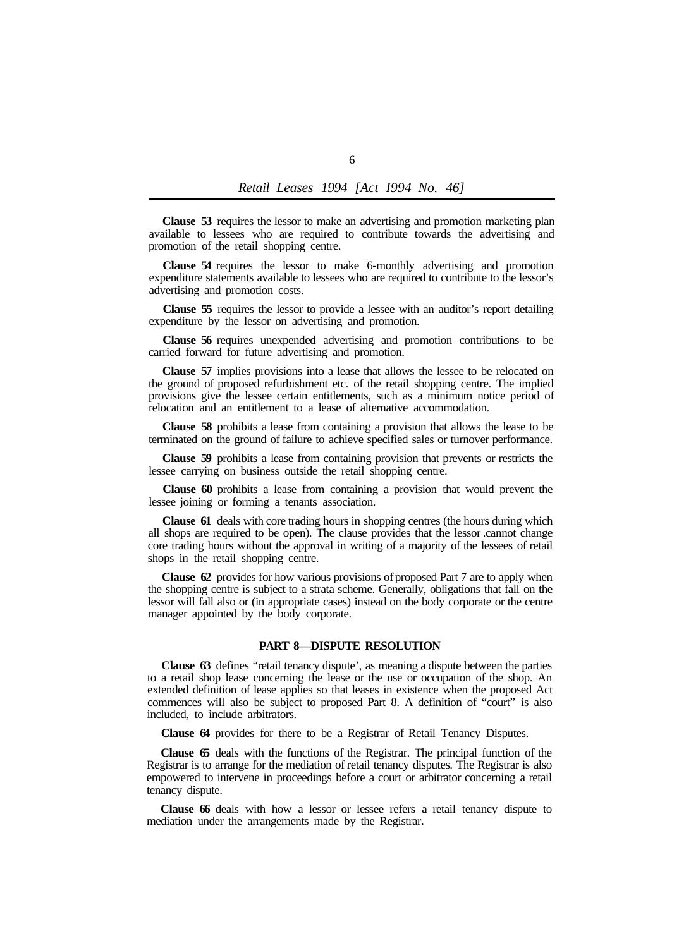**Clause 53** requires the lessor to make an advertising and promotion marketing plan available to lessees who are required to contribute towards the advertising and promotion of the retail shopping centre.

**Clause 54** requires the lessor to make 6-monthly advertising and promotion expenditure statements available to lessees who are required to contribute to the lessor's advertising and promotion costs.

**Clause 55** requires the lessor to provide a lessee with an auditor's report detailing expenditure by the lessor on advertising and promotion.

**Clause 56** requires unexpended advertising and promotion contributions to be carried forward for future advertising and promotion.

**Clause 57** implies provisions into a lease that allows the lessee to be relocated on the ground of proposed refurbishment etc. of the retail shopping centre. The implied provisions give the lessee certain entitlements, such as a minimum notice period of relocation and an entitlement to a lease of alternative accommodation.

**Clause 58** prohibits a lease from containing a provision that allows the lease to be terminated on the ground of failure to achieve specified sales or turnover performance.

**Clause 59** prohibits a lease from containing provision that prevents or restricts the lessee carrying on business outside the retail shopping centre.

**Clause 60** prohibits a lease from containing a provision that would prevent the lessee joining or forming a tenants association.

**Clause 61** deals with core trading hours in shopping centres (the hours during which all shops are required to be open). The clause provides that the lessor .cannot change core trading hours without the approval in writing of a majority of the lessees of retail shops in the retail shopping centre.

**Clause 62** provides for how various provisions of proposed Part 7 are to apply when the shopping centre is subject to a strata scheme. Generally, obligations that fall on the lessor will fall also or (in appropriate cases) instead on the body corporate or the centre manager appointed by the body corporate.

### **PART 8—DISPUTE RESOLUTION**

**Clause 63** defines "retail tenancy dispute', as meaning a dispute between the parties to a retail shop lease concerning the lease or the use or occupation of the shop. An extended definition of lease applies so that leases in existence when the proposed Act commences will also be subject to proposed Part 8. A definition of "court" is also included, to include arbitrators.

**Clause 64** provides for there to be a Registrar of Retail Tenancy Disputes.

**Clause 65** deals with the functions of the Registrar. The principal function of the Registrar is to arrange for the mediation of retail tenancy disputes. The Registrar is also empowered to intervene in proceedings before a court or arbitrator concerning a retail tenancy dispute.

**Clause 66** deals with how a lessor or lessee refers a retail tenancy dispute to mediation under the arrangements made by the Registrar.